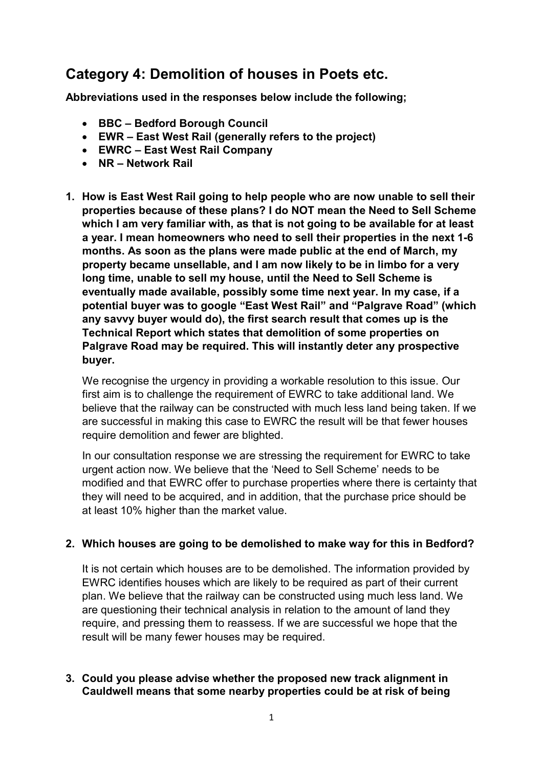# Category 4: Demolition of houses in Poets etc.

Abbreviations used in the responses below include the following;

- BBC Bedford Borough Council
- EWR East West Rail (generally refers to the project)
- EWRC East West Rail Company
- NR Network Rail
- 1. How is East West Rail going to help people who are now unable to sell their properties because of these plans? I do NOT mean the Need to Sell Scheme which I am very familiar with, as that is not going to be available for at least a year. I mean homeowners who need to sell their properties in the next 1-6 months. As soon as the plans were made public at the end of March, my property became unsellable, and I am now likely to be in limbo for a very long time, unable to sell my house, until the Need to Sell Scheme is eventually made available, possibly some time next year. In my case, if a potential buyer was to google "East West Rail" and "Palgrave Road" (which any savvy buyer would do), the first search result that comes up is the Technical Report which states that demolition of some properties on Palgrave Road may be required. This will instantly deter any prospective buyer.

 We recognise the urgency in providing a workable resolution to this issue. Our first aim is to challenge the requirement of EWRC to take additional land. We believe that the railway can be constructed with much less land being taken. If we are successful in making this case to EWRC the result will be that fewer houses require demolition and fewer are blighted.

 In our consultation response we are stressing the requirement for EWRC to take urgent action now. We believe that the 'Need to Sell Scheme' needs to be modified and that EWRC offer to purchase properties where there is certainty that they will need to be acquired, and in addition, that the purchase price should be at least 10% higher than the market value.

# 2. Which houses are going to be demolished to make way for this in Bedford?

 It is not certain which houses are to be demolished. The information provided by EWRC identifies houses which are likely to be required as part of their current plan. We believe that the railway can be constructed using much less land. We are questioning their technical analysis in relation to the amount of land they require, and pressing them to reassess. If we are successful we hope that the result will be many fewer houses may be required.

#### 3. Could you please advise whether the proposed new track alignment in Cauldwell means that some nearby properties could be at risk of being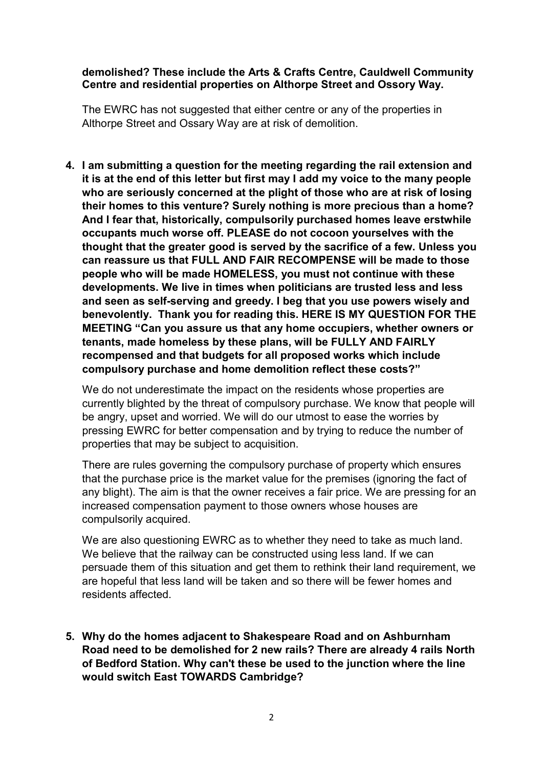#### demolished? These include the Arts & Crafts Centre, Cauldwell Community Centre and residential properties on Althorpe Street and Ossory Way.

 The EWRC has not suggested that either centre or any of the properties in Althorpe Street and Ossary Way are at risk of demolition.

 4. I am submitting a question for the meeting regarding the rail extension and it is at the end of this letter but first may I add my voice to the many people who are seriously concerned at the plight of those who are at risk of losing their homes to this venture? Surely nothing is more precious than a home? And I fear that, historically, compulsorily purchased homes leave erstwhile occupants much worse off. PLEASE do not cocoon yourselves with the thought that the greater good is served by the sacrifice of a few. Unless you can reassure us that FULL AND FAIR RECOMPENSE will be made to those people who will be made HOMELESS, you must not continue with these developments. We live in times when politicians are trusted less and less and seen as self-serving and greedy. I beg that you use powers wisely and benevolently. Thank you for reading this. HERE IS MY QUESTION FOR THE MEETING "Can you assure us that any home occupiers, whether owners or tenants, made homeless by these plans, will be FULLY AND FAIRLY recompensed and that budgets for all proposed works which include compulsory purchase and home demolition reflect these costs?"

 We do not underestimate the impact on the residents whose properties are currently blighted by the threat of compulsory purchase. We know that people will be angry, upset and worried. We will do our utmost to ease the worries by pressing EWRC for better compensation and by trying to reduce the number of properties that may be subject to acquisition.

 There are rules governing the compulsory purchase of property which ensures that the purchase price is the market value for the premises (ignoring the fact of any blight). The aim is that the owner receives a fair price. We are pressing for an increased compensation payment to those owners whose houses are compulsorily acquired.

 We are also questioning EWRC as to whether they need to take as much land. We believe that the railway can be constructed using less land. If we can persuade them of this situation and get them to rethink their land requirement, we are hopeful that less land will be taken and so there will be fewer homes and residents affected.

 5. Why do the homes adjacent to Shakespeare Road and on Ashburnham Road need to be demolished for 2 new rails? There are already 4 rails North of Bedford Station. Why can't these be used to the junction where the line would switch East TOWARDS Cambridge?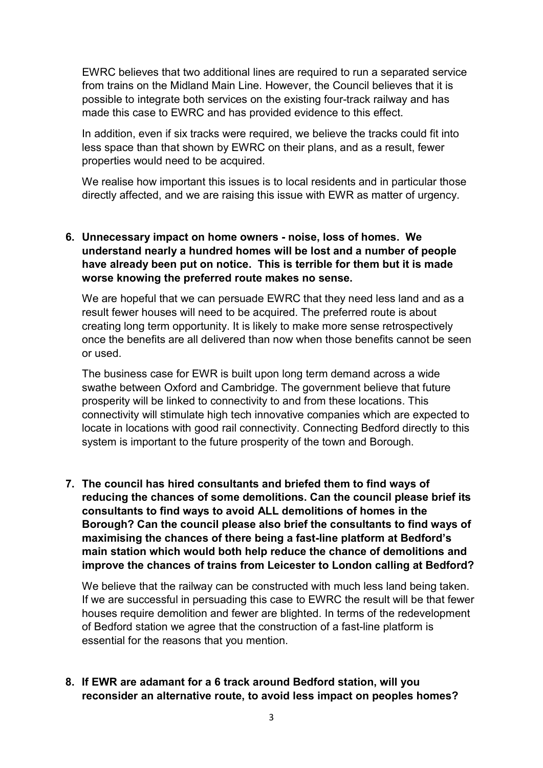EWRC believes that two additional lines are required to run a separated service from trains on the Midland Main Line. However, the Council believes that it is possible to integrate both services on the existing four-track railway and has made this case to EWRC and has provided evidence to this effect.

 In addition, even if six tracks were required, we believe the tracks could fit into less space than that shown by EWRC on their plans, and as a result, fewer properties would need to be acquired.

 We realise how important this issues is to local residents and in particular those directly affected, and we are raising this issue with EWR as matter of urgency.

# 6. Unnecessary impact on home owners - noise, loss of homes. We understand nearly a hundred homes will be lost and a number of people have already been put on notice. This is terrible for them but it is made worse knowing the preferred route makes no sense.

 We are hopeful that we can persuade EWRC that they need less land and as a result fewer houses will need to be acquired. The preferred route is about creating long term opportunity. It is likely to make more sense retrospectively once the benefits are all delivered than now when those benefits cannot be seen or used.

 The business case for EWR is built upon long term demand across a wide swathe between Oxford and Cambridge. The government believe that future prosperity will be linked to connectivity to and from these locations. This connectivity will stimulate high tech innovative companies which are expected to locate in locations with good rail connectivity. Connecting Bedford directly to this system is important to the future prosperity of the town and Borough.

 7. The council has hired consultants and briefed them to find ways of reducing the chances of some demolitions. Can the council please brief its consultants to find ways to avoid ALL demolitions of homes in the Borough? Can the council please also brief the consultants to find ways of maximising the chances of there being a fast-line platform at Bedford's main station which would both help reduce the chance of demolitions and improve the chances of trains from Leicester to London calling at Bedford?

 We believe that the railway can be constructed with much less land being taken. If we are successful in persuading this case to EWRC the result will be that fewer houses require demolition and fewer are blighted. In terms of the redevelopment of Bedford station we agree that the construction of a fast-line platform is essential for the reasons that you mention.

# 8. If EWR are adamant for a 6 track around Bedford station, will you reconsider an alternative route, to avoid less impact on peoples homes?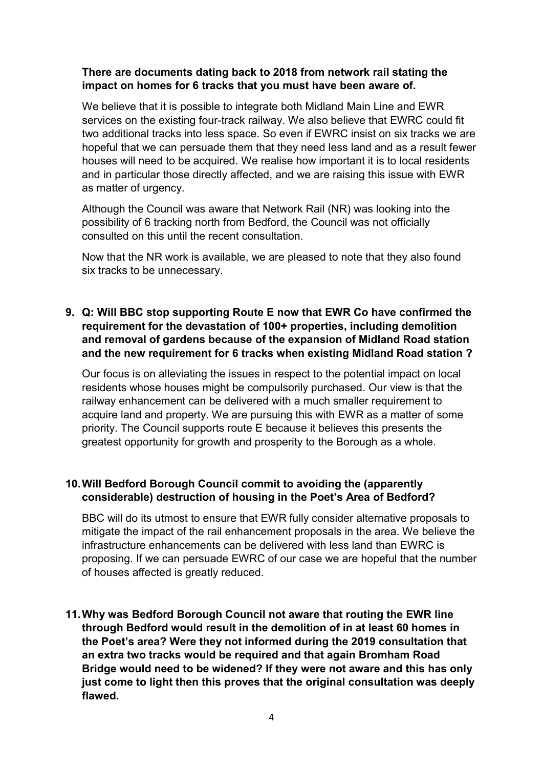## There are documents dating back to 2018 from network rail stating the impact on homes for 6 tracks that you must have been aware of.

 We believe that it is possible to integrate both Midland Main Line and EWR services on the existing four-track railway. We also believe that EWRC could fit two additional tracks into less space. So even if EWRC insist on six tracks we are hopeful that we can persuade them that they need less land and as a result fewer houses will need to be acquired. We realise how important it is to local residents and in particular those directly affected, and we are raising this issue with EWR as matter of urgency.

 Although the Council was aware that Network Rail (NR) was looking into the possibility of 6 tracking north from Bedford, the Council was not officially consulted on this until the recent consultation.

 Now that the NR work is available, we are pleased to note that they also found six tracks to be unnecessary.

 9. Q: Will BBC stop supporting Route E now that EWR Co have confirmed the requirement for the devastation of 100+ properties, including demolition and removal of gardens because of the expansion of Midland Road station and the new requirement for 6 tracks when existing Midland Road station ?

 Our focus is on alleviating the issues in respect to the potential impact on local residents whose houses might be compulsorily purchased. Our view is that the railway enhancement can be delivered with a much smaller requirement to acquire land and property. We are pursuing this with EWR as a matter of some priority. The Council supports route E because it believes this presents the greatest opportunity for growth and prosperity to the Borough as a whole.

# 10.Will Bedford Borough Council commit to avoiding the (apparently considerable) destruction of housing in the Poet's Area of Bedford?

 BBC will do its utmost to ensure that EWR fully consider alternative proposals to mitigate the impact of the rail enhancement proposals in the area. We believe the infrastructure enhancements can be delivered with less land than EWRC is proposing. If we can persuade EWRC of our case we are hopeful that the number of houses affected is greatly reduced.

 11.Why was Bedford Borough Council not aware that routing the EWR line through Bedford would result in the demolition of in at least 60 homes in the Poet's area? Were they not informed during the 2019 consultation that an extra two tracks would be required and that again Bromham Road Bridge would need to be widened? If they were not aware and this has only just come to light then this proves that the original consultation was deeply flawed.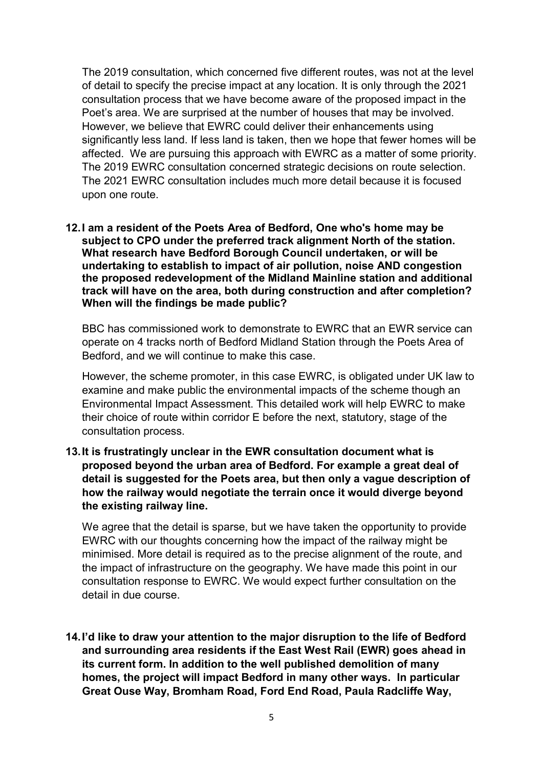The 2019 consultation, which concerned five different routes, was not at the level of detail to specify the precise impact at any location. It is only through the 2021 consultation process that we have become aware of the proposed impact in the Poet's area. We are surprised at the number of houses that may be involved. However, we believe that EWRC could deliver their enhancements using significantly less land. If less land is taken, then we hope that fewer homes will be affected. We are pursuing this approach with EWRC as a matter of some priority. The 2019 EWRC consultation concerned strategic decisions on route selection. The 2021 EWRC consultation includes much more detail because it is focused upon one route.

 12.I am a resident of the Poets Area of Bedford, One who's home may be subject to CPO under the preferred track alignment North of the station. What research have Bedford Borough Council undertaken, or will be undertaking to establish to impact of air pollution, noise AND congestion the proposed redevelopment of the Midland Mainline station and additional track will have on the area, both during construction and after completion? When will the findings be made public?

 BBC has commissioned work to demonstrate to EWRC that an EWR service can operate on 4 tracks north of Bedford Midland Station through the Poets Area of Bedford, and we will continue to make this case.

 However, the scheme promoter, in this case EWRC, is obligated under UK law to examine and make public the environmental impacts of the scheme though an Environmental Impact Assessment. This detailed work will help EWRC to make their choice of route within corridor E before the next, statutory, stage of the consultation process.

 13.It is frustratingly unclear in the EWR consultation document what is proposed beyond the urban area of Bedford. For example a great deal of detail is suggested for the Poets area, but then only a vague description of how the railway would negotiate the terrain once it would diverge beyond the existing railway line.

 We agree that the detail is sparse, but we have taken the opportunity to provide EWRC with our thoughts concerning how the impact of the railway might be minimised. More detail is required as to the precise alignment of the route, and the impact of infrastructure on the geography. We have made this point in our consultation response to EWRC. We would expect further consultation on the detail in due course.

 14.I'd like to draw your attention to the major disruption to the life of Bedford and surrounding area residents if the East West Rail (EWR) goes ahead in its current form. In addition to the well published demolition of many homes, the project will impact Bedford in many other ways. In particular Great Ouse Way, Bromham Road, Ford End Road, Paula Radcliffe Way,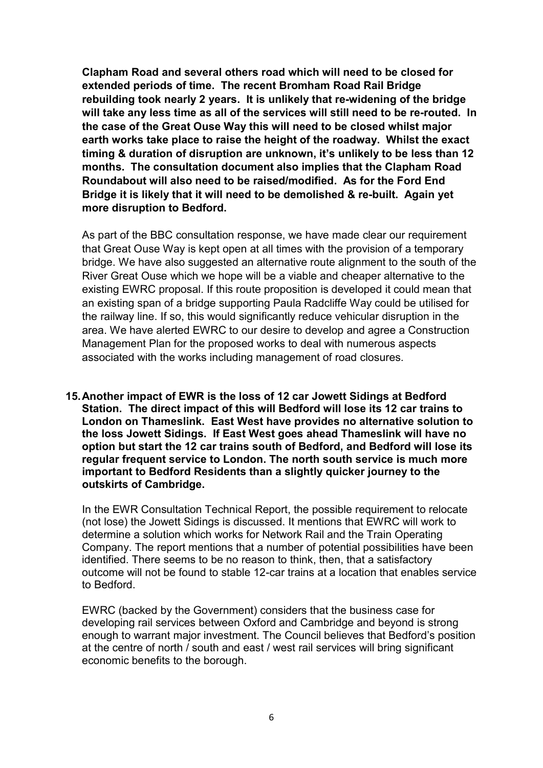Clapham Road and several others road which will need to be closed for extended periods of time. The recent Bromham Road Rail Bridge rebuilding took nearly 2 years. It is unlikely that re-widening of the bridge will take any less time as all of the services will still need to be re-routed. In the case of the Great Ouse Way this will need to be closed whilst major earth works take place to raise the height of the roadway. Whilst the exact timing & duration of disruption are unknown, it's unlikely to be less than 12 months. The consultation document also implies that the Clapham Road Roundabout will also need to be raised/modified. As for the Ford End Bridge it is likely that it will need to be demolished & re-built. Again yet more disruption to Bedford.

 As part of the BBC consultation response, we have made clear our requirement that Great Ouse Way is kept open at all times with the provision of a temporary bridge. We have also suggested an alternative route alignment to the south of the River Great Ouse which we hope will be a viable and cheaper alternative to the existing EWRC proposal. If this route proposition is developed it could mean that an existing span of a bridge supporting Paula Radcliffe Way could be utilised for the railway line. If so, this would significantly reduce vehicular disruption in the area. We have alerted EWRC to our desire to develop and agree a Construction Management Plan for the proposed works to deal with numerous aspects associated with the works including management of road closures.

 15.Another impact of EWR is the loss of 12 car Jowett Sidings at Bedford Station. The direct impact of this will Bedford will lose its 12 car trains to London on Thameslink. East West have provides no alternative solution to the loss Jowett Sidings. If East West goes ahead Thameslink will have no option but start the 12 car trains south of Bedford, and Bedford will lose its regular frequent service to London. The north south service is much more important to Bedford Residents than a slightly quicker journey to the outskirts of Cambridge.

 In the EWR Consultation Technical Report, the possible requirement to relocate (not lose) the Jowett Sidings is discussed. It mentions that EWRC will work to determine a solution which works for Network Rail and the Train Operating Company. The report mentions that a number of potential possibilities have been identified. There seems to be no reason to think, then, that a satisfactory outcome will not be found to stable 12-car trains at a location that enables service to Bedford.

 EWRC (backed by the Government) considers that the business case for developing rail services between Oxford and Cambridge and beyond is strong enough to warrant major investment. The Council believes that Bedford's position at the centre of north / south and east / west rail services will bring significant economic benefits to the borough.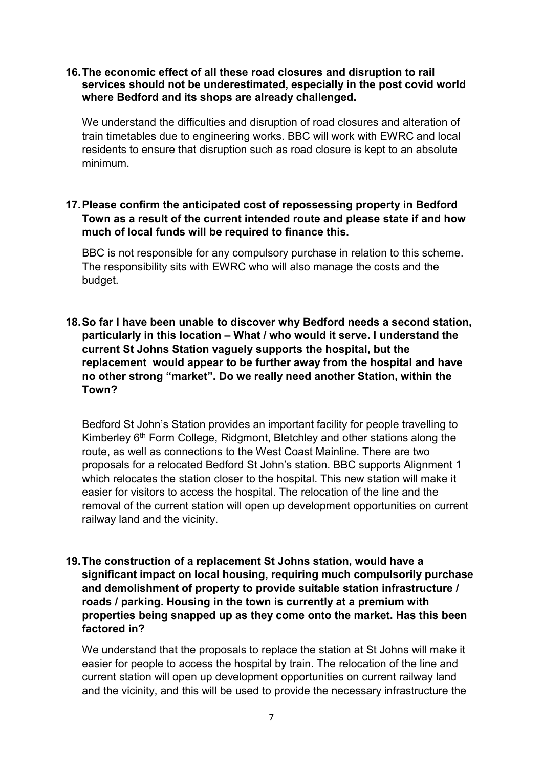#### 16.The economic effect of all these road closures and disruption to rail services should not be underestimated, especially in the post covid world where Bedford and its shops are already challenged.

 We understand the difficulties and disruption of road closures and alteration of train timetables due to engineering works. BBC will work with EWRC and local residents to ensure that disruption such as road closure is kept to an absolute minimum.

# 17.Please confirm the anticipated cost of repossessing property in Bedford Town as a result of the current intended route and please state if and how much of local funds will be required to finance this.

 BBC is not responsible for any compulsory purchase in relation to this scheme. The responsibility sits with EWRC who will also manage the costs and the budget.

# 18.So far I have been unable to discover why Bedford needs a second station, particularly in this location – What / who would it serve. I understand the current St Johns Station vaguely supports the hospital, but the replacement would appear to be further away from the hospital and have no other strong "market". Do we really need another Station, within the Town?

 Bedford St John's Station provides an important facility for people travelling to Kimberley 6<sup>th</sup> Form College, Ridgmont, Bletchley and other stations along the route, as well as connections to the West Coast Mainline. There are two proposals for a relocated Bedford St John's station. BBC supports Alignment 1 which relocates the station closer to the hospital. This new station will make it easier for visitors to access the hospital. The relocation of the line and the removal of the current station will open up development opportunities on current railway land and the vicinity.

# 19.The construction of a replacement St Johns station, would have a significant impact on local housing, requiring much compulsorily purchase and demolishment of property to provide suitable station infrastructure / roads / parking. Housing in the town is currently at a premium with properties being snapped up as they come onto the market. Has this been factored in?

 We understand that the proposals to replace the station at St Johns will make it easier for people to access the hospital by train. The relocation of the line and current station will open up development opportunities on current railway land and the vicinity, and this will be used to provide the necessary infrastructure the